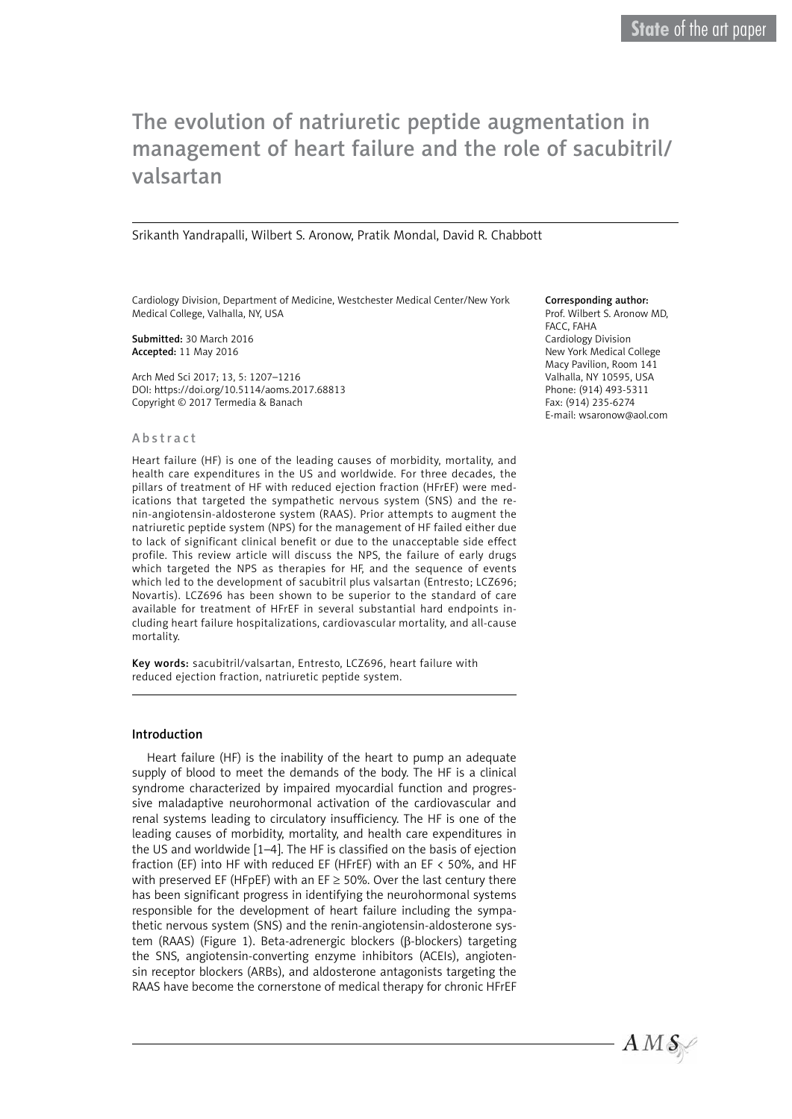# The evolution of natriuretic peptide augmentation in management of heart failure and the role of sacubitril/ valsartan

Srikanth Yandrapalli, Wilbert S. Aronow, Pratik Mondal, David R. Chabbott

Cardiology Division, Department of Medicine, Westchester Medical Center/New York Medical College, Valhalla, NY, USA

Submitted: 30 March 2016 Accepted: 11 May 2016

Arch Med Sci 2017; 13, 5: 1207–1216 DOI: https://doi.org/10.5114/aoms.2017.68813 Copyright © 2017 Termedia & Banach

#### Abstract

Heart failure (HF) is one of the leading causes of morbidity, mortality, and health care expenditures in the US and worldwide. For three decades, the pillars of treatment of HF with reduced ejection fraction (HFrEF) were medications that targeted the sympathetic nervous system (SNS) and the renin-angiotensin-aldosterone system (RAAS). Prior attempts to augment the natriuretic peptide system (NPS) for the management of HF failed either due to lack of significant clinical benefit or due to the unacceptable side effect profile. This review article will discuss the NPS, the failure of early drugs which targeted the NPS as therapies for HF, and the sequence of events which led to the development of sacubitril plus valsartan (Entresto; LCZ696; Novartis). LCZ696 has been shown to be superior to the standard of care available for treatment of HFrEF in several substantial hard endpoints including heart failure hospitalizations, cardiovascular mortality, and all-cause mortality.

Key words: sacubitril/valsartan, Entresto, LCZ696, heart failure with reduced ejection fraction, natriuretic peptide system.

### Introduction

Heart failure (HF) is the inability of the heart to pump an adequate supply of blood to meet the demands of the body. The HF is a clinical syndrome characterized by impaired myocardial function and progressive maladaptive neurohormonal activation of the cardiovascular and renal systems leading to circulatory insufficiency. The HF is one of the leading causes of morbidity, mortality, and health care expenditures in the US and worldwide [1–4]. The HF is classified on the basis of ejection fraction (EF) into HF with reduced EF (HFrEF) with an EF < 50%, and HF with preserved EF (HFpEF) with an EF  $\geq$  50%. Over the last century there has been significant progress in identifying the neurohormonal systems responsible for the development of heart failure including the sympathetic nervous system (SNS) and the renin-angiotensin-aldosterone system (RAAS) (Figure 1). Beta-adrenergic blockers (β-blockers) targeting the SNS, angiotensin-converting enzyme inhibitors (ACEIs), angiotensin receptor blockers (ARBs), and aldosterone antagonists targeting the RAAS have become the cornerstone of medical therapy for chronic HFrEF

#### Corresponding author:

Prof. Wilbert S. Aronow MD, FACC, FAHA Cardiology Division New York Medical College Macy Pavilion, Room 141 Valhalla, NY 10595, USA Phone: (914) 493-5311 Fax: (914) 235-6274 E-mail: wsaronow@aol.com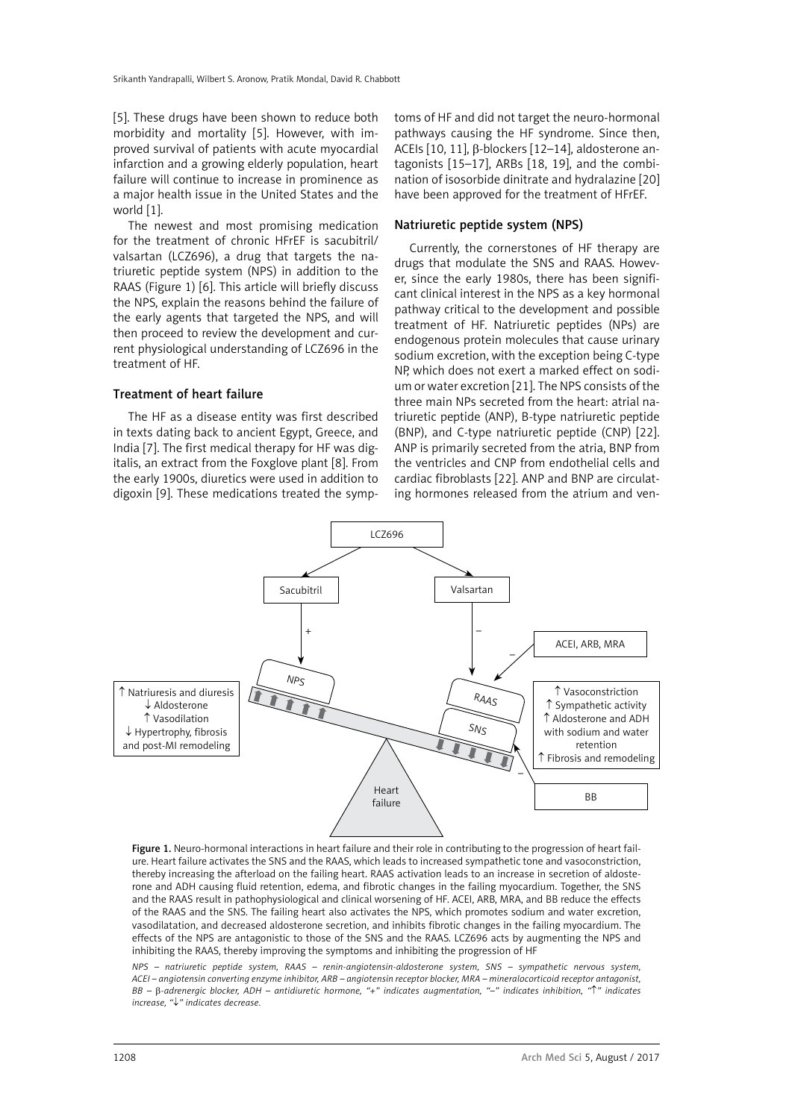[5]. These drugs have been shown to reduce both morbidity and mortality [5]. However, with improved survival of patients with acute myocardial infarction and a growing elderly population, heart failure will continue to increase in prominence as a major health issue in the United States and the world [1].

The newest and most promising medication for the treatment of chronic HFrEF is sacubitril/ valsartan (LCZ696), a drug that targets the natriuretic peptide system (NPS) in addition to the RAAS (Figure 1) [6]. This article will briefly discuss the NPS, explain the reasons behind the failure of the early agents that targeted the NPS, and will then proceed to review the development and current physiological understanding of LCZ696 in the treatment of HF.

# Treatment of heart failure

The HF as a disease entity was first described in texts dating back to ancient Egypt, Greece, and India [7]. The first medical therapy for HF was digitalis, an extract from the Foxglove plant [8]. From the early 1900s, diuretics were used in addition to digoxin [9]. These medications treated the symptoms of HF and did not target the neuro-hormonal pathways causing the HF syndrome. Since then, ACEIs [10, 11], β-blockers [12–14], aldosterone antagonists [15–17], ARBs [18, 19], and the combination of isosorbide dinitrate and hydralazine [20] have been approved for the treatment of HFrEF.

#### Natriuretic peptide system (NPS)

Currently, the cornerstones of HF therapy are drugs that modulate the SNS and RAAS. However, since the early 1980s, there has been significant clinical interest in the NPS as a key hormonal pathway critical to the development and possible treatment of HF. Natriuretic peptides (NPs) are endogenous protein molecules that cause urinary sodium excretion, with the exception being C-type NP, which does not exert a marked effect on sodium or water excretion [21]. The NPS consists of the three main NPs secreted from the heart: atrial natriuretic peptide (ANP), B-type natriuretic peptide (BNP), and C-type natriuretic peptide (CNP) [22]. ANP is primarily secreted from the atria, BNP from the ventricles and CNP from endothelial cells and cardiac fibroblasts [22]. ANP and BNP are circulating hormones released from the atrium and ven-



Figure 1. Neuro-hormonal interactions in heart failure and their role in contributing to the progression of heart failure. Heart failure activates the SNS and the RAAS, which leads to increased sympathetic tone and vasoconstriction, thereby increasing the afterload on the failing heart. RAAS activation leads to an increase in secretion of aldosterone and ADH causing fluid retention, edema, and fibrotic changes in the failing myocardium. Together, the SNS and the RAAS result in pathophysiological and clinical worsening of HF. ACEI, ARB, MRA, and BB reduce the effects of the RAAS and the SNS. The failing heart also activates the NPS, which promotes sodium and water excretion, vasodilatation, and decreased aldosterone secretion, and inhibits fibrotic changes in the failing myocardium. The effects of the NPS are antagonistic to those of the SNS and the RAAS. LCZ696 acts by augmenting the NPS and inhibiting the RAAS, thereby improving the symptoms and inhibiting the progression of HF

*NPS – natriuretic peptide system, RAAS – renin-angiotensin-aldosterone system, SNS – sympathetic nervous system, ACEI – angiotensin converting enzyme inhibitor, ARB – angiotensin receptor blocker, MRA – mineralocorticoid receptor antagonist, BB –* β*-adrenergic blocker, ADH – antidiuretic hormone, "+" indicates augmentation, "–" indicates inhibition, "*↑*" indicates increase, "*↓*" indicates decrease.*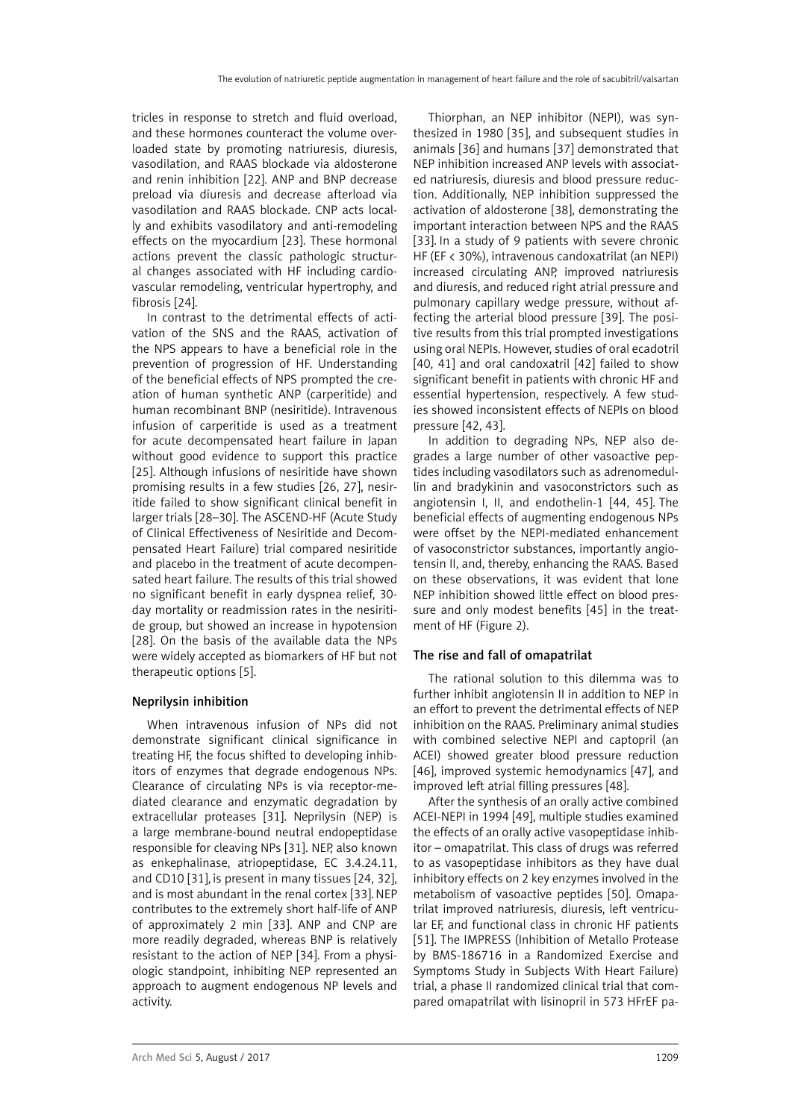tricles in response to stretch and fluid overload, and these hormones counteract the volume overloaded state by promoting natriuresis, diuresis, vasodilation, and RAAS blockade via aldosterone and renin inhibition [22]. ANP and BNP decrease preload via diuresis and decrease afterload via vasodilation and RAAS blockade. CNP acts locally and exhibits vasodilatory and anti-remodeling effects on the myocardium [23]. These hormonal actions prevent the classic pathologic structural changes associated with HF including cardiovascular remodeling, ventricular hypertrophy, and fibrosis [24].

In contrast to the detrimental effects of activation of the SNS and the RAAS, activation of the NPS appears to have a beneficial role in the prevention of progression of HF. Understanding of the beneficial effects of NPS prompted the creation of human synthetic ANP (carperitide) and human recombinant BNP (nesiritide). Intravenous infusion of carperitide is used as a treatment for acute decompensated heart failure in Japan without good evidence to support this practice [25]. Although infusions of nesiritide have shown promising results in a few studies [26, 27], nesiritide failed to show significant clinical benefit in larger trials [28–30]. The ASCEND-HF (Acute Study of Clinical Effectiveness of Nesiritide and Decompensated Heart Failure) trial compared nesiritide and placebo in the treatment of acute decompensated heart failure. The results of this trial showed no significant benefit in early dyspnea relief, 30 day mortality or readmission rates in the nesiritide group, but showed an increase in hypotension [28]. On the basis of the available data the NPs were widely accepted as biomarkers of HF but not therapeutic options [5].

# Neprilysin inhibition

When intravenous infusion of NPs did not demonstrate significant clinical significance in treating HF, the focus shifted to developing inhibitors of enzymes that degrade endogenous NPs. Clearance of circulating NPs is via receptor-mediated clearance and enzymatic degradation by extracellular proteases [31]. Neprilysin (NEP) is a large membrane-bound neutral endopeptidase responsible for cleaving NPs [31]. NEP, also known as enkephalinase, atriopeptidase, EC 3.4.24.11, and CD10 [31], is present in many tissues [24, 32], and is most abundant in the renal cortex [33].NEP contributes to the extremely short half-life of ANP of approximately 2 min [33]. ANP and CNP are more readily degraded, whereas BNP is relatively resistant to the action of NEP [34]. From a physiologic standpoint, inhibiting NEP represented an approach to augment endogenous NP levels and activity.

Thiorphan, an NEP inhibitor (NEPI), was synthesized in 1980 [35], and subsequent studies in animals [36] and humans [37] demonstrated that NEP inhibition increased ANP levels with associated natriuresis, diuresis and blood pressure reduction. Additionally, NEP inhibition suppressed the activation of aldosterone [38], demonstrating the important interaction between NPS and the RAAS [33]. In a study of 9 patients with severe chronic HF (EF < 30%), intravenous candoxatrilat (an NEPI) increased circulating ANP, improved natriuresis and diuresis, and reduced right atrial pressure and pulmonary capillary wedge pressure, without affecting the arterial blood pressure [39]. The positive results from this trial prompted investigations using oral NEPIs. However, studies of oral ecadotril [40, 41] and oral candoxatril [42] failed to show significant benefit in patients with chronic HF and essential hypertension, respectively. A few studies showed inconsistent effects of NEPIs on blood pressure [42, 43].

In addition to degrading NPs, NEP also degrades a large number of other vasoactive peptides including vasodilators such as adrenomedullin and bradykinin and vasoconstrictors such as angiotensin I, II, and endothelin-1 [44, 45]. The beneficial effects of augmenting endogenous NPs were offset by the NEPI-mediated enhancement of vasoconstrictor substances, importantly angiotensin II, and, thereby, enhancing the RAAS. Based on these observations, it was evident that lone NEP inhibition showed little effect on blood pressure and only modest benefits [45] in the treatment of HF (Figure 2).

# The rise and fall of omapatrilat

The rational solution to this dilemma was to further inhibit angiotensin II in addition to NEP in an effort to prevent the detrimental effects of NEP inhibition on the RAAS. Preliminary animal studies with combined selective NEPI and captopril (an ACEI) showed greater blood pressure reduction [46], improved systemic hemodynamics [47], and improved left atrial filling pressures [48].

After the synthesis of an orally active combined ACEI-NEPI in 1994 [49], multiple studies examined the effects of an orally active vasopeptidase inhibitor – omapatrilat. This class of drugs was referred to as vasopeptidase inhibitors as they have dual inhibitory effects on 2 key enzymes involved in the metabolism of vasoactive peptides [50]. Omapatrilat improved natriuresis, diuresis, left ventricular EF, and functional class in chronic HF patients [51]. The IMPRESS (Inhibition of Metallo Protease by BMS-186716 in a Randomized Exercise and Symptoms Study in Subjects With Heart Failure) trial, a phase II randomized clinical trial that compared omapatrilat with lisinopril in 573 HFrEF pa-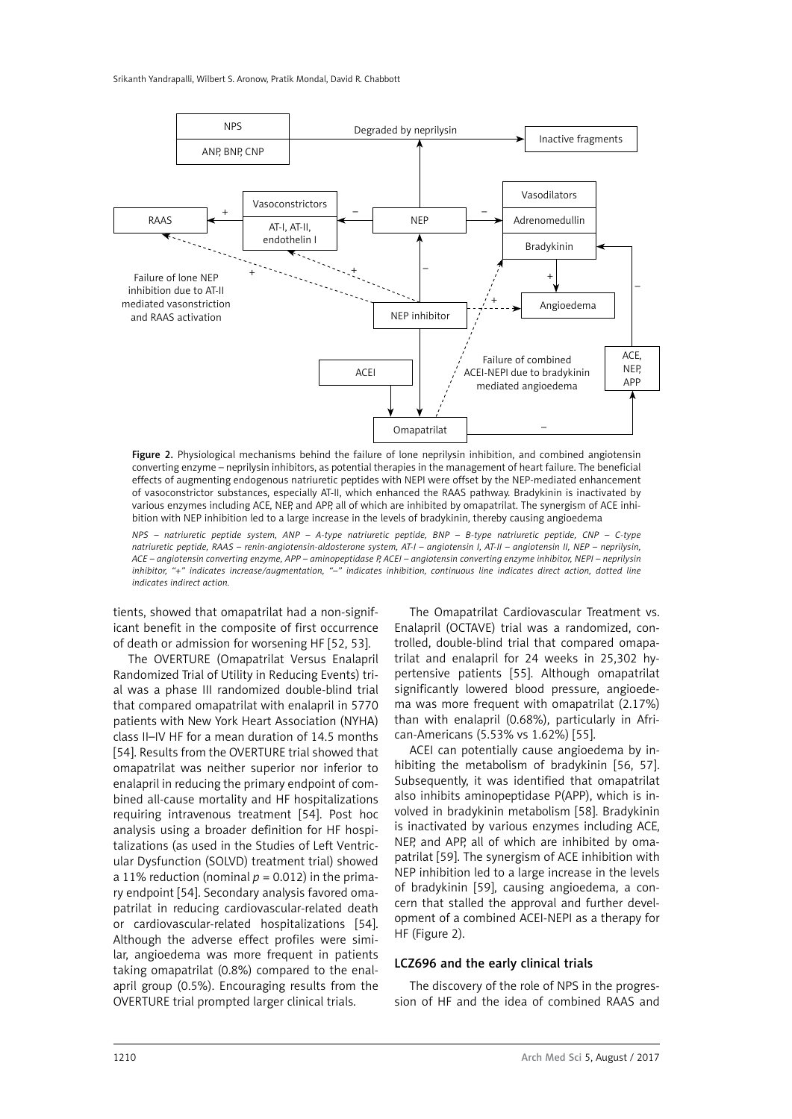

Figure 2. Physiological mechanisms behind the failure of lone neprilysin inhibition, and combined angiotensin converting enzyme – neprilysin inhibitors, as potential therapies in the management of heart failure. The beneficial effects of augmenting endogenous natriuretic peptides with NEPI were offset by the NEP-mediated enhancement of vasoconstrictor substances, especially AT-II, which enhanced the RAAS pathway. Bradykinin is inactivated by various enzymes including ACE, NEP, and APP, all of which are inhibited by omapatrilat. The synergism of ACE inhibition with NEP inhibition led to a large increase in the levels of bradykinin, thereby causing angioedema

*NPS – natriuretic peptide system, ANP – A-type natriuretic peptide, BNP – B-type natriuretic peptide, CNP – C-type natriuretic peptide, RAAS – renin-angiotensin-aldosterone system, AT-I – angiotensin I, AT-II – angiotensin II, NEP – neprilysin, ACE – angiotensin converting enzyme, APP – aminopeptidase P, ACEI – angiotensin converting enzyme inhibitor, NEPI – neprilysin inhibitor, "+" indicates increase/augmentation, "–" indicates inhibition, continuous line indicates direct action, dotted line indicates indirect action.*

tients, showed that omapatrilat had a non-significant benefit in the composite of first occurrence of death or admission for worsening HF [52, 53].

The OVERTURE (Omapatrilat Versus Enalapril Randomized Trial of Utility in Reducing Events) trial was a phase III randomized double-blind trial that compared omapatrilat with enalapril in 5770 patients with New York Heart Association (NYHA) class II–IV HF for a mean duration of 14.5 months [54]. Results from the OVERTURE trial showed that omapatrilat was neither superior nor inferior to enalapril in reducing the primary endpoint of combined all-cause mortality and HF hospitalizations requiring intravenous treatment [54]. Post hoc analysis using a broader definition for HF hospitalizations (as used in the Studies of Left Ventricular Dysfunction (SOLVD) treatment trial) showed a 11% reduction (nominal  $p = 0.012$ ) in the primary endpoint [54]. Secondary analysis favored omapatrilat in reducing cardiovascular-related death or cardiovascular-related hospitalizations [54]. Although the adverse effect profiles were similar, angioedema was more frequent in patients taking omapatrilat (0.8%) compared to the enalapril group (0.5%). Encouraging results from the OVERTURE trial prompted larger clinical trials.

The Omapatrilat Cardiovascular Treatment vs. Enalapril (OCTAVE) trial was a randomized, controlled, double-blind trial that compared omapatrilat and enalapril for 24 weeks in 25,302 hypertensive patients [55]. Although omapatrilat significantly lowered blood pressure, angioedema was more frequent with omapatrilat (2.17%) than with enalapril (0.68%), particularly in African-Americans (5.53% vs 1.62%) [55].

ACEI can potentially cause angioedema by inhibiting the metabolism of bradykinin [56, 57]. Subsequently, it was identified that omapatrilat also inhibits aminopeptidase P(APP), which is involved in bradykinin metabolism [58]. Bradykinin is inactivated by various enzymes including ACE, NEP, and APP, all of which are inhibited by omapatrilat [59]. The synergism of ACE inhibition with NEP inhibition led to a large increase in the levels of bradykinin [59], causing angioedema, a concern that stalled the approval and further development of a combined ACEI-NEPI as a therapy for HF (Figure 2).

#### LCZ696 and the early clinical trials

The discovery of the role of NPS in the progression of HF and the idea of combined RAAS and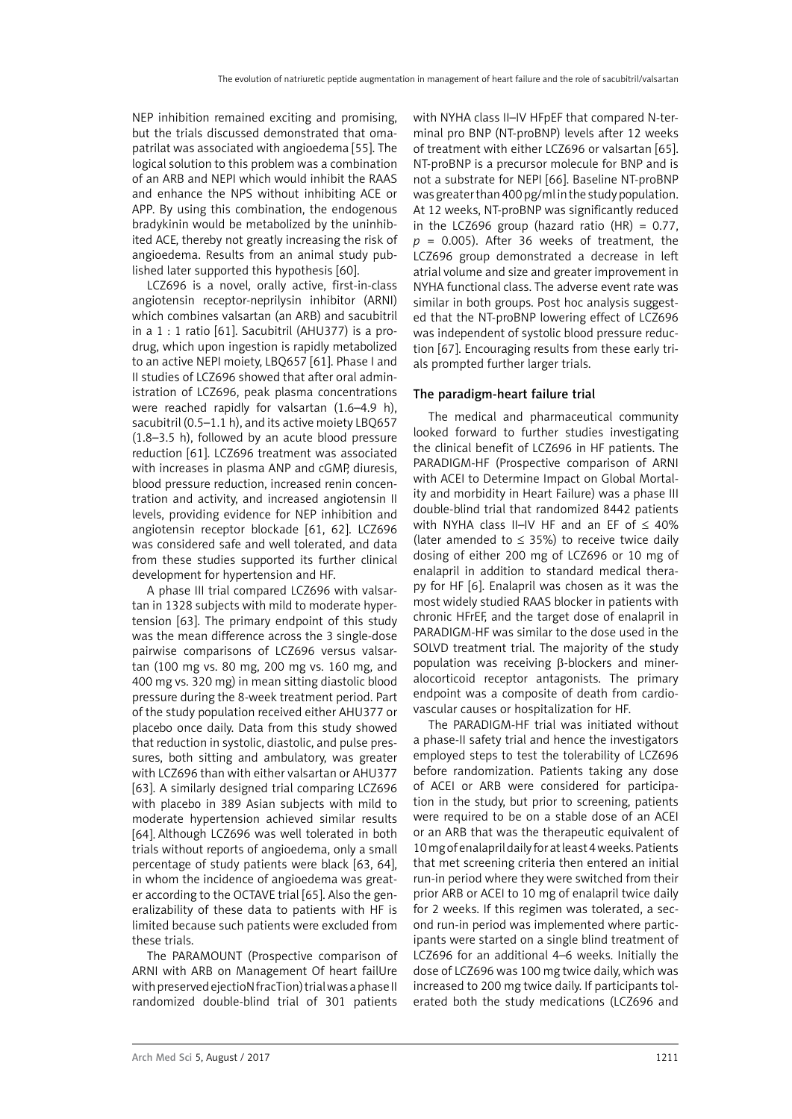NEP inhibition remained exciting and promising, but the trials discussed demonstrated that omapatrilat was associated with angioedema [55]. The logical solution to this problem was a combination of an ARB and NEPI which would inhibit the RAAS and enhance the NPS without inhibiting ACE or APP. By using this combination, the endogenous bradykinin would be metabolized by the uninhibited ACE, thereby not greatly increasing the risk of angioedema. Results from an animal study published later supported this hypothesis [60].

LCZ696 is a novel, orally active, first-in-class angiotensin receptor-neprilysin inhibitor (ARNI) which combines valsartan (an ARB) and sacubitril in  $a$  1 : 1 ratio [61]. Sacubitril (AHU377) is a prodrug, which upon ingestion is rapidly metabolized to an active NEPI moiety, LBQ657 [61]. Phase I and II studies of LCZ696 showed that after oral administration of LCZ696, peak plasma concentrations were reached rapidly for valsartan (1.6–4.9 h), sacubitril (0.5-1.1 h), and its active moiety LBQ657 (1.8–3.5 h), followed by an acute blood pressure reduction [61]. LCZ696 treatment was associated with increases in plasma ANP and cGMP, diuresis, blood pressure reduction, increased renin concentration and activity, and increased angiotensin II levels, providing evidence for NEP inhibition and angiotensin receptor blockade [61, 62]. LCZ696 was considered safe and well tolerated, and data from these studies supported its further clinical development for hypertension and HF.

A phase III trial compared LCZ696 with valsartan in 1328 subjects with mild to moderate hypertension [63]. The primary endpoint of this study was the mean difference across the 3 single-dose pairwise comparisons of LCZ696 versus valsartan (100 mg vs. 80 mg, 200 mg vs. 160 mg, and 400 mg vs. 320 mg) in mean sitting diastolic blood pressure during the 8-week treatment period. Part of the study population received either AHU377 or placebo once daily. Data from this study showed that reduction in systolic, diastolic, and pulse pressures, both sitting and ambulatory, was greater with LCZ696 than with either valsartan or AHU377 [63]. A similarly designed trial comparing LCZ696 with placebo in 389 Asian subjects with mild to moderate hypertension achieved similar results [64]. Although LCZ696 was well tolerated in both trials without reports of angioedema, only a small percentage of study patients were black [63, 64], in whom the incidence of angioedema was greater according to the OCTAVE trial [65]. Also the generalizability of these data to patients with HF is limited because such patients were excluded from these trials.

The PARAMOUNT (Prospective comparison of ARNI with ARB on Management Of heart failUre with preserved ejectioN fracTion) trial was a phase II randomized double-blind trial of 301 patients with NYHA class II–IV HFpEF that compared N-terminal pro BNP (NT-proBNP) levels after 12 weeks of treatment with either LCZ696 or valsartan [65]. NT-proBNP is a precursor molecule for BNP and is not a substrate for NEPI [66]. Baseline NT-proBNP was greater than 400 pg/ml in the study population. At 12 weeks, NT-proBNP was significantly reduced in the LCZ696 group (hazard ratio  $(HR) = 0.77$ ,  $p = 0.005$ ). After 36 weeks of treatment, the LCZ696 group demonstrated a decrease in left atrial volume and size and greater improvement in NYHA functional class. The adverse event rate was similar in both groups. Post hoc analysis suggested that the NT-proBNP lowering effect of LCZ696 was independent of systolic blood pressure reduction [67]. Encouraging results from these early trials prompted further larger trials.

# The paradigm-heart failure trial

The medical and pharmaceutical community looked forward to further studies investigating the clinical benefit of LCZ696 in HF patients. The PARADIGM-HF (Prospective comparison of ARNI with ACEI to Determine Impact on Global Mortality and morbidity in Heart Failure) was a phase III double-blind trial that randomized 8442 patients with NYHA class II–IV HF and an EF of  $\leq 40\%$ (later amended to  $\leq$  35%) to receive twice daily dosing of either 200 mg of LCZ696 or 10 mg of enalapril in addition to standard medical therapy for HF [6]. Enalapril was chosen as it was the most widely studied RAAS blocker in patients with chronic HFrEF, and the target dose of enalapril in PARADIGM-HF was similar to the dose used in the SOLVD treatment trial. The majority of the study population was receiving β-blockers and mineralocorticoid receptor antagonists. The primary endpoint was a composite of death from cardiovascular causes or hospitalization for HF.

The PARADIGM-HF trial was initiated without a phase-II safety trial and hence the investigators employed steps to test the tolerability of LCZ696 before randomization. Patients taking any dose of ACEI or ARB were considered for participation in the study, but prior to screening, patients were required to be on a stable dose of an ACEI or an ARB that was the therapeutic equivalent of 10 mg of enalapril daily for at least 4 weeks. Patients that met screening criteria then entered an initial run-in period where they were switched from their prior ARB or ACEI to 10 mg of enalapril twice daily for 2 weeks. If this regimen was tolerated, a second run-in period was implemented where participants were started on a single blind treatment of LCZ696 for an additional 4–6 weeks. Initially the dose of LCZ696 was 100 mg twice daily, which was increased to 200 mg twice daily. If participants tolerated both the study medications (LCZ696 and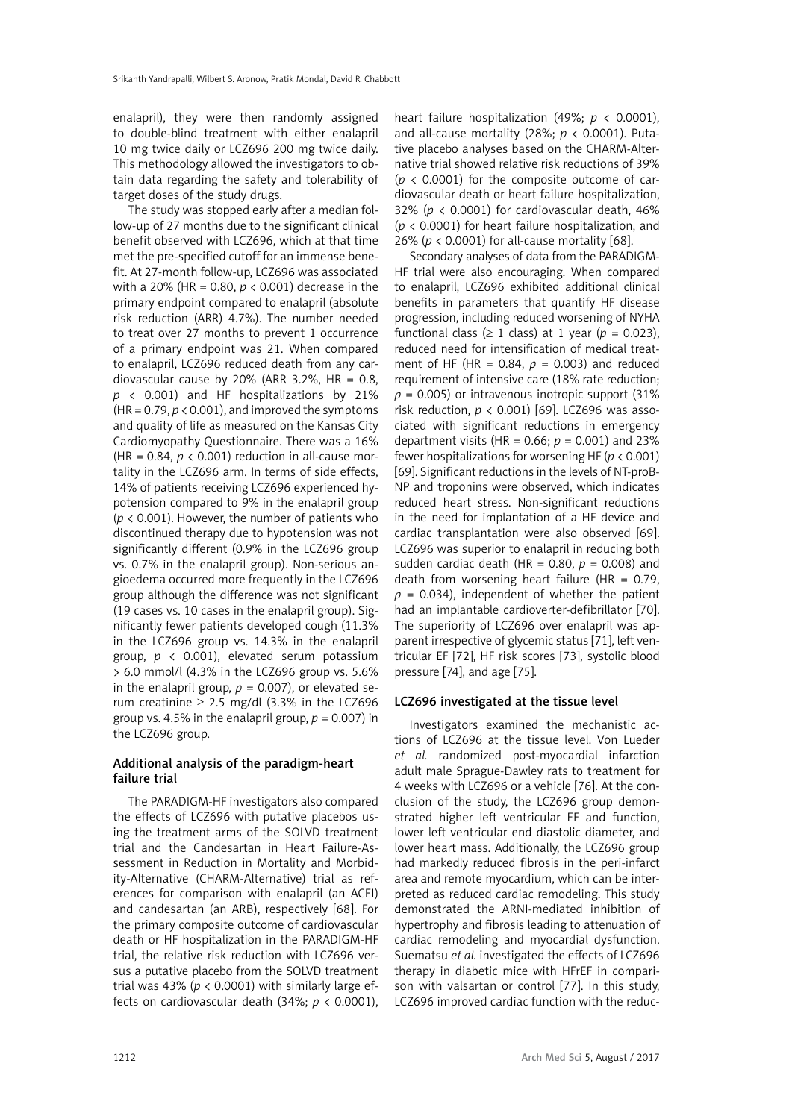enalapril), they were then randomly assigned to double-blind treatment with either enalapril 10 mg twice daily or LCZ696 200 mg twice daily. This methodology allowed the investigators to obtain data regarding the safety and tolerability of target doses of the study drugs.

The study was stopped early after a median follow-up of 27 months due to the significant clinical benefit observed with LCZ696, which at that time met the pre-specified cutoff for an immense benefit. At 27-month follow-up, LCZ696 was associated with a 20% (HR = 0.80, *p* < 0.001) decrease in the primary endpoint compared to enalapril (absolute risk reduction (ARR) 4.7%). The number needed to treat over 27 months to prevent 1 occurrence of a primary endpoint was 21. When compared to enalapril, LCZ696 reduced death from any cardiovascular cause by 20% (ARR 3.2%, HR =  $0.8$ , *p* < 0.001) and HF hospitalizations by 21%  $(HR = 0.79, p < 0.001)$ , and improved the symptoms and quality of life as measured on the Kansas City Cardiomyopathy Questionnaire. There was a 16% (HR =  $0.84$ ,  $p < 0.001$ ) reduction in all-cause mortality in the LCZ696 arm. In terms of side effects, 14% of patients receiving LCZ696 experienced hypotension compared to 9% in the enalapril group (*p* < 0.001). However, the number of patients who discontinued therapy due to hypotension was not significantly different (0.9% in the LCZ696 group vs. 0.7% in the enalapril group). Non-serious angioedema occurred more frequently in the LCZ696 group although the difference was not significant (19 cases vs. 10 cases in the enalapril group). Significantly fewer patients developed cough (11.3% in the LCZ696 group vs. 14.3% in the enalapril group, *p* < 0.001), elevated serum potassium > 6.0 mmol/l (4.3% in the LCZ696 group vs. 5.6% in the enalapril group,  $p = 0.007$ ), or elevated serum creatinine  $\geq$  2.5 mg/dl (3.3% in the LCZ696 group vs. 4.5% in the enalapril group,  $p = 0.007$ ) in the LCZ696 group.

# Additional analysis of the paradigm-heart failure trial

The PARADIGM-HF investigators also compared the effects of LCZ696 with putative placebos using the treatment arms of the SOLVD treatment trial and the Candesartan in Heart Failure-Assessment in Reduction in Mortality and Morbidity-Alternative (CHARM-Alternative) trial as references for comparison with enalapril (an ACEI) and candesartan (an ARB), respectively [68]. For the primary composite outcome of cardiovascular death or HF hospitalization in the PARADIGM-HF trial, the relative risk reduction with LCZ696 versus a putative placebo from the SOLVD treatment trial was 43% ( $p < 0.0001$ ) with similarly large effects on cardiovascular death (34%; *p* < 0.0001), heart failure hospitalization (49%; *p* < 0.0001), and all-cause mortality (28%; *p* < 0.0001). Putative placebo analyses based on the CHARM-Alternative trial showed relative risk reductions of 39% (*p* < 0.0001) for the composite outcome of cardiovascular death or heart failure hospitalization, 32% ( $p < 0.0001$ ) for cardiovascular death, 46% (*p* < 0.0001) for heart failure hospitalization, and 26% (*p* < 0.0001) for all-cause mortality [68].

Secondary analyses of data from the PARADIGM-HF trial were also encouraging. When compared to enalapril, LCZ696 exhibited additional clinical benefits in parameters that quantify HF disease progression, including reduced worsening of NYHA functional class ( $\geq$  1 class) at 1 year ( $p = 0.023$ ), reduced need for intensification of medical treatment of HF (HR =  $0.84$ ,  $p = 0.003$ ) and reduced requirement of intensive care (18% rate reduction;  $p = 0.005$ ) or intravenous inotropic support (31%) risk reduction, *p* < 0.001) [69]. LCZ696 was associated with significant reductions in emergency department visits (HR =  $0.66$ ;  $p = 0.001$ ) and 23% fewer hospitalizations for worsening HF (*p* < 0.001) [69]. Significant reductions in the levels of NT-proB-NP and troponins were observed, which indicates reduced heart stress. Non-significant reductions in the need for implantation of a HF device and cardiac transplantation were also observed [69]. LCZ696 was superior to enalapril in reducing both sudden cardiac death (HR = 0.80, *p* = 0.008) and death from worsening heart failure (HR =  $0.79$ ,  $p = 0.034$ ), independent of whether the patient had an implantable cardioverter-defibrillator [70]. The superiority of LCZ696 over enalapril was apparent irrespective of glycemic status [71], left ventricular EF [72], HF risk scores [73], systolic blood pressure [74], and age [75].

# LCZ696 investigated at the tissue level

Investigators examined the mechanistic actions of LCZ696 at the tissue level. Von Lueder *et al.* randomized post-myocardial infarction adult male Sprague-Dawley rats to treatment for 4 weeks with LCZ696 or a vehicle [76]. At the conclusion of the study, the LCZ696 group demonstrated higher left ventricular EF and function, lower left ventricular end diastolic diameter, and lower heart mass. Additionally, the LCZ696 group had markedly reduced fibrosis in the peri-infarct area and remote myocardium, which can be interpreted as reduced cardiac remodeling. This study demonstrated the ARNI-mediated inhibition of hypertrophy and fibrosis leading to attenuation of cardiac remodeling and myocardial dysfunction. Suematsu *et al.* investigated the effects of LCZ696 therapy in diabetic mice with HFrEF in comparison with valsartan or control [77]. In this study, LCZ696 improved cardiac function with the reduc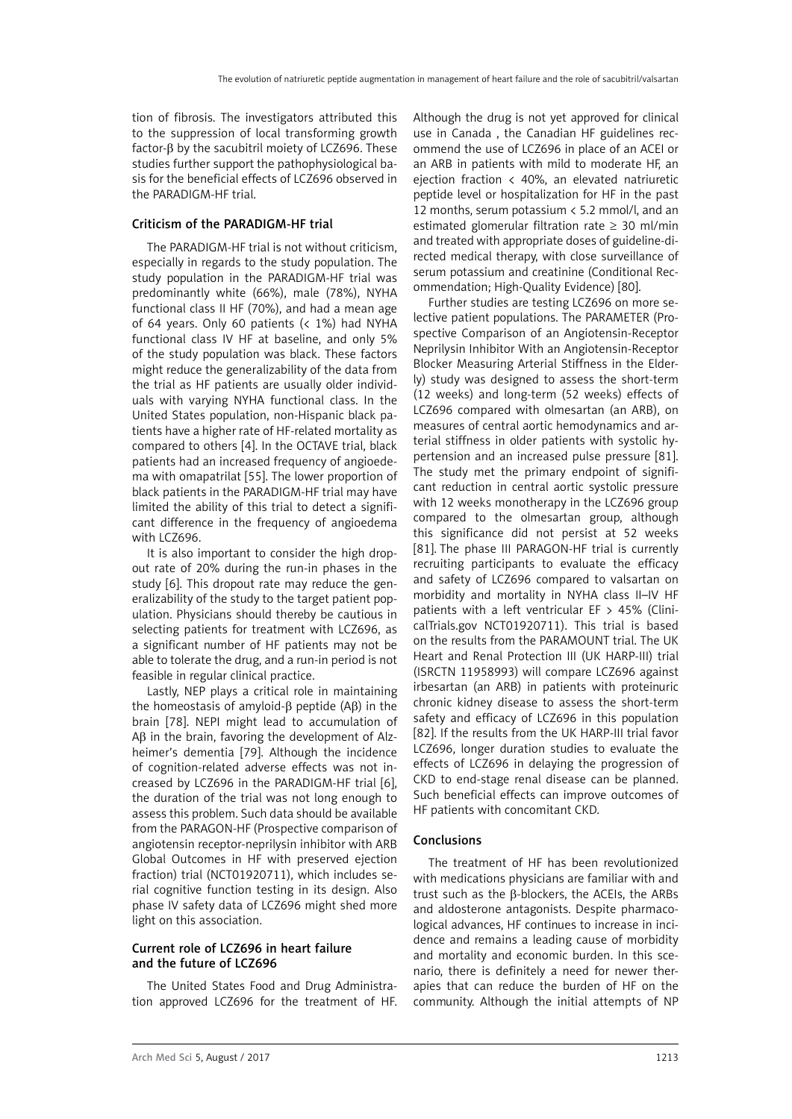tion of fibrosis. The investigators attributed this to the suppression of local transforming growth factor-β by the sacubitril moiety of LCZ696. These studies further support the pathophysiological basis for the beneficial effects of LCZ696 observed in the PARADIGM-HF trial.

# Criticism of the PARADIGM-HF trial

The PARADIGM-HF trial is not without criticism, especially in regards to the study population. The study population in the PARADIGM-HF trial was predominantly white (66%), male (78%), NYHA functional class II HF (70%), and had a mean age of 64 years. Only 60 patients  $( $1\%$ )$  had NYHA functional class IV HF at baseline, and only 5% of the study population was black. These factors might reduce the generalizability of the data from the trial as HF patients are usually older individuals with varying NYHA functional class. In the United States population, non-Hispanic black patients have a higher rate of HF-related mortality as compared to others [4]. In the OCTAVE trial, black patients had an increased frequency of angioedema with omapatrilat [55]. The lower proportion of black patients in the PARADIGM-HF trial may have limited the ability of this trial to detect a significant difference in the frequency of angioedema with LCZ696.

It is also important to consider the high dropout rate of 20% during the run-in phases in the study [6]. This dropout rate may reduce the generalizability of the study to the target patient population. Physicians should thereby be cautious in selecting patients for treatment with LCZ696, as a significant number of HF patients may not be able to tolerate the drug, and a run-in period is not feasible in regular clinical practice.

Lastly, NEP plays a critical role in maintaining the homeostasis of amyloid-β peptide (Aβ) in the brain [78]. NEPI might lead to accumulation of Aβ in the brain, favoring the development of Alzheimer's dementia [79]. Although the incidence of cognition-related adverse effects was not increased by LCZ696 in the PARADIGM-HF trial [6], the duration of the trial was not long enough to assess this problem. Such data should be available from the PARAGON-HF (Prospective comparison of angiotensin receptor-neprilysin inhibitor with ARB Global Outcomes in HF with preserved ejection fraction) trial (NCT01920711), which includes serial cognitive function testing in its design. Also phase IV safety data of LCZ696 might shed more light on this association.

# Current role of LCZ696 in heart failure and the future of LCZ696

The United States Food and Drug Administration approved LCZ696 for the treatment of HF. Although the drug is not yet approved for clinical use in Canada , the Canadian HF guidelines recommend the use of LCZ696 in place of an ACEI or an ARB in patients with mild to moderate HF, an ejection fraction < 40%, an elevated natriuretic peptide level or hospitalization for HF in the past 12 months, serum potassium < 5.2 mmol/l, and an estimated glomerular filtration rate  $\geq$  30 ml/min and treated with appropriate doses of guideline-directed medical therapy, with close surveillance of serum potassium and creatinine (Conditional Recommendation; High-Quality Evidence) [80].

Further studies are testing LCZ696 on more selective patient populations. The PARAMETER (Prospective Comparison of an Angiotensin-Receptor Neprilysin Inhibitor With an Angiotensin-Receptor Blocker Measuring Arterial Stiffness in the Elderly) study was designed to assess the short-term (12 weeks) and long-term (52 weeks) effects of LCZ696 compared with olmesartan (an ARB), on measures of central aortic hemodynamics and arterial stiffness in older patients with systolic hypertension and an increased pulse pressure [81]. The study met the primary endpoint of significant reduction in central aortic systolic pressure with 12 weeks monotherapy in the LCZ696 group compared to the olmesartan group, although this significance did not persist at 52 weeks [81]. The phase III PARAGON-HF trial is currently recruiting participants to evaluate the efficacy and safety of LCZ696 compared to valsartan on morbidity and mortality in NYHA class II–IV HF patients with a left ventricular  $EF > 45\%$  (ClinicalTrials.gov NCT01920711). This trial is based on the results from the PARAMOUNT trial. The UK Heart and Renal Protection III (UK HARP-III) trial (ISRCTN 11958993) will compare LCZ696 against irbesartan (an ARB) in patients with proteinuric chronic kidney disease to assess the short-term safety and efficacy of LCZ696 in this population [82]. If the results from the UK HARP-III trial favor LCZ696, longer duration studies to evaluate the effects of LCZ696 in delaying the progression of CKD to end-stage renal disease can be planned. Such beneficial effects can improve outcomes of HF patients with concomitant CKD.

# Conclusions

The treatment of HF has been revolutionized with medications physicians are familiar with and trust such as the β-blockers, the ACEIs, the ARBs and aldosterone antagonists. Despite pharmacological advances, HF continues to increase in incidence and remains a leading cause of morbidity and mortality and economic burden. In this scenario, there is definitely a need for newer therapies that can reduce the burden of HF on the community. Although the initial attempts of NP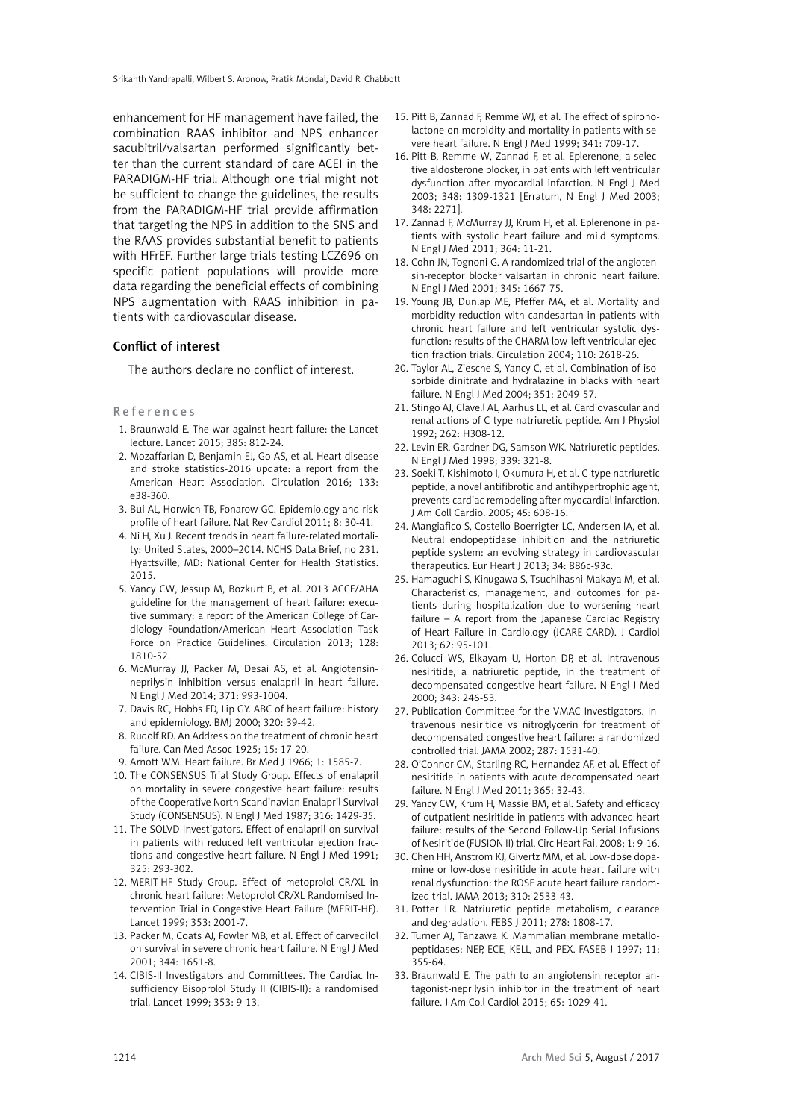enhancement for HF management have failed, the combination RAAS inhibitor and NPS enhancer sacubitril/valsartan performed significantly better than the current standard of care ACEI in the PARADIGM-HF trial. Although one trial might not be sufficient to change the guidelines, the results from the PARADIGM-HF trial provide affirmation that targeting the NPS in addition to the SNS and the RAAS provides substantial benefit to patients with HFrEF. Further large trials testing LCZ696 on specific patient populations will provide more data regarding the beneficial effects of combining NPS augmentation with RAAS inhibition in patients with cardiovascular disease.

## Conflict of interest

The authors declare no conflict of interest.

#### References

- 1. Braunwald E. The war against heart failure: the Lancet lecture. Lancet 2015; 385: 812-24.
- 2. Mozaffarian D, Benjamin EJ, Go AS, et al. Heart disease and stroke statistics-2016 update: a report from the American Heart Association. Circulation 2016; 133: e38-360.
- 3. Bui AL, Horwich TB, Fonarow GC. Epidemiology and risk profile of heart failure. Nat Rev Cardiol 2011; 8: 30-41.
- 4. Ni H, Xu J. Recent trends in heart failure-related mortality: United States, 2000–2014. NCHS Data Brief, no 231. Hyattsville, MD: National Center for Health Statistics. 2015.
- 5. Yancy CW, Jessup M, Bozkurt B, et al. 2013 ACCF/AHA guideline for the management of heart failure: executive summary: a report of the American College of Cardiology Foundation/American Heart Association Task Force on Practice Guidelines. Circulation 2013; 128: 1810-52.
- 6. McMurray JJ, Packer M, Desai AS, et al. Angiotensinneprilysin inhibition versus enalapril in heart failure. N Engl J Med 2014; 371: 993-1004.
- 7. Davis RC, Hobbs FD, Lip GY. ABC of heart failure: history and epidemiology. BMJ 2000; 320: 39-42.
- 8. Rudolf RD. An Address on the treatment of chronic heart failure. Can Med Assoc 1925; 15: 17-20.
- 9. Arnott WM. Heart failure. Br Med J 1966; 1: 1585-7.
- 10. The CONSENSUS Trial Study Group. Effects of enalapril on mortality in severe congestive heart failure: results of the Cooperative North Scandinavian Enalapril Survival Study (CONSENSUS). N Engl J Med 1987; 316: 1429-35.
- 11. The SOLVD Investigators. Effect of enalapril on survival in patients with reduced left ventricular ejection fractions and congestive heart failure. N Engl J Med 1991; 325: 293-302.
- 12. MERIT-HF Study Group. Effect of metoprolol CR/XL in chronic heart failure: Metoprolol CR/XL Randomised Intervention Trial in Congestive Heart Failure (MERIT-HF). Lancet 1999; 353: 2001-7.
- 13. Packer M, Coats AJ, Fowler MB, et al. Effect of carvedilol on survival in severe chronic heart failure. N Engl J Med 2001; 344: 1651-8.
- 14. CIBIS-II Investigators and Committees. The Cardiac Insufficiency Bisoprolol Study II (CIBIS-II): a randomised trial. Lancet 1999; 353: 9-13.
- 15. Pitt B, Zannad F, Remme WJ, et al. The effect of spironolactone on morbidity and mortality in patients with severe heart failure. N Engl J Med 1999; 341: 709-17.
- 16. Pitt B, Remme W, Zannad F, et al. Eplerenone, a selective aldosterone blocker, in patients with left ventricular dysfunction after myocardial infarction. N Engl J Med 2003; 348: 1309-1321 [Erratum, N Engl J Med 2003; 348: 2271].
- 17. Zannad F, McMurray JJ, Krum H, et al. Eplerenone in patients with systolic heart failure and mild symptoms. N Engl J Med 2011; 364: 11-21.
- 18. Cohn JN, Tognoni G. A randomized trial of the angiotensin-receptor blocker valsartan in chronic heart failure. N Engl J Med 2001; 345: 1667-75.
- 19. Young JB, Dunlap ME, Pfeffer MA, et al. Mortality and morbidity reduction with candesartan in patients with chronic heart failure and left ventricular systolic dysfunction: results of the CHARM low-left ventricular ejection fraction trials. Circulation 2004; 110: 2618-26.
- 20. Taylor AL, Ziesche S, Yancy C, et al. Combination of isosorbide dinitrate and hydralazine in blacks with heart failure. N Engl J Med 2004; 351: 2049-57.
- 21. Stingo AJ, Clavell AL, Aarhus LL, et al. Cardiovascular and renal actions of C-type natriuretic peptide. Am J Physiol 1992; 262: H308-12.
- 22. Levin ER, Gardner DG, Samson WK. Natriuretic peptides. N Engl J Med 1998; 339: 321-8.
- 23. Soeki T, Kishimoto I, Okumura H, et al. C-type natriuretic peptide, a novel antifibrotic and antihypertrophic agent, prevents cardiac remodeling after myocardial infarction. J Am Coll Cardiol 2005; 45: 608-16.
- 24. Mangiafico S, Costello-Boerrigter LC, Andersen IA, et al. Neutral endopeptidase inhibition and the natriuretic peptide system: an evolving strategy in cardiovascular therapeutics. Eur Heart J 2013; 34: 886c-93c.
- 25. Hamaguchi S, Kinugawa S, Tsuchihashi-Makaya M, et al. Characteristics, management, and outcomes for patients during hospitalization due to worsening heart failure – A report from the Japanese Cardiac Registry of Heart Failure in Cardiology (JCARE-CARD). J Cardiol 2013; 62: 95-101.
- 26. Colucci WS, Elkayam U, Horton DP, et al. Intravenous nesiritide, a natriuretic peptide, in the treatment of decompensated congestive heart failure. N Engl J Med 2000; 343: 246-53.
- 27. Publication Committee for the VMAC Investigators. Intravenous nesiritide vs nitroglycerin for treatment of decompensated congestive heart failure: a randomized controlled trial. JAMA 2002; 287: 1531-40.
- 28. O'Connor CM, Starling RC, Hernandez AF, et al. Effect of nesiritide in patients with acute decompensated heart failure. N Engl J Med 2011; 365: 32-43.
- 29. Yancy CW, Krum H, Massie BM, et al. Safety and efficacy of outpatient nesiritide in patients with advanced heart failure: results of the Second Follow-Up Serial Infusions of Nesiritide (FUSION II) trial. Circ Heart Fail 2008; 1: 9-16.
- 30. Chen HH, Anstrom KJ, Givertz MM, et al. Low-dose dopamine or low-dose nesiritide in acute heart failure with renal dysfunction: the ROSE acute heart failure randomized trial. JAMA 2013; 310: 2533-43.
- 31. Potter LR. Natriuretic peptide metabolism, clearance and degradation. FEBS J 2011; 278: 1808-17.
- 32. Turner AJ, Tanzawa K. Mammalian membrane metallopeptidases: NEP, ECE, KELL, and PEX. FASEB J 1997; 11: 355-64.
- 33. Braunwald E. The path to an angiotensin receptor antagonist-neprilysin inhibitor in the treatment of heart failure. J Am Coll Cardiol 2015; 65: 1029-41.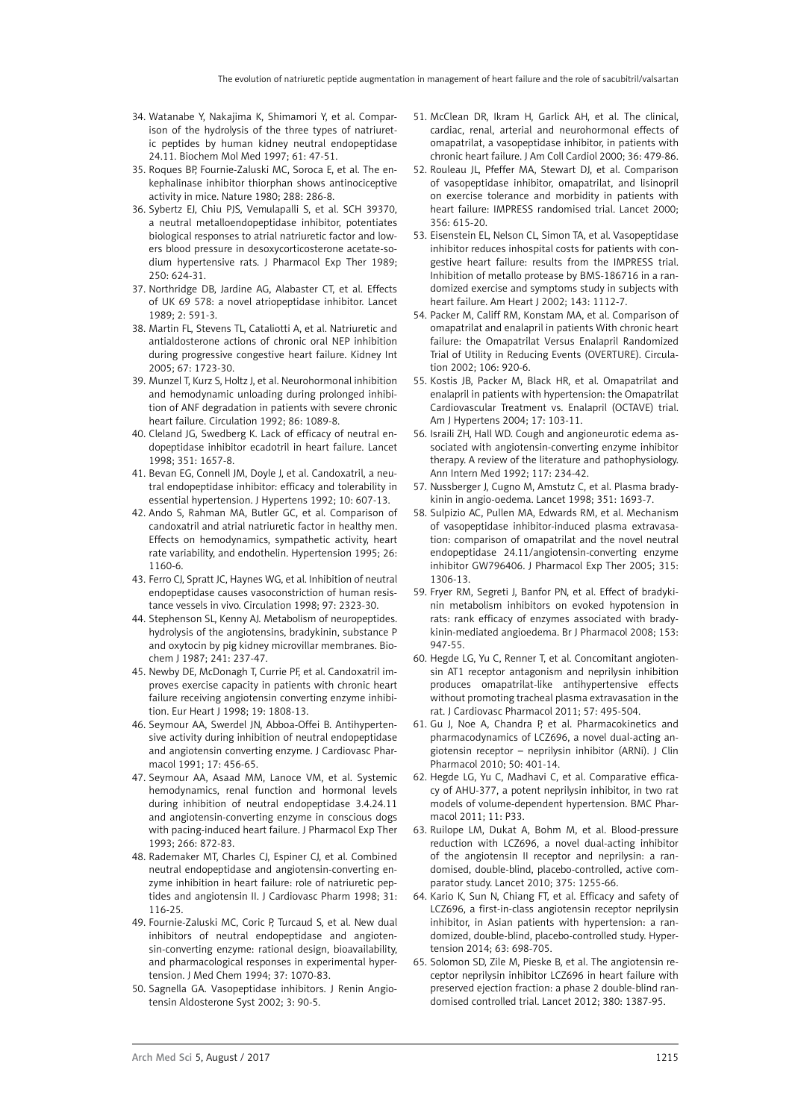- 34. Watanabe Y, Nakajima K, Shimamori Y, et al. Comparison of the hydrolysis of the three types of natriuretic peptides by human kidney neutral endopeptidase 24.11. Biochem Mol Med 1997; 61: 47-51.
- 35. Roques BP, Fournie-Zaluski MC, Soroca E, et al. The enkephalinase inhibitor thiorphan shows antinociceptive activity in mice. Nature 1980; 288: 286-8.
- 36. Sybertz EJ, Chiu PJS, Vemulapalli S, et al. SCH 39370, a neutral metalloendopeptidase inhibitor, potentiates biological responses to atrial natriuretic factor and lowers blood pressure in desoxycorticosterone acetate-sodium hypertensive rats. J Pharmacol Exp Ther 1989; 250: 624-31.
- 37. Northridge DB, Jardine AG, Alabaster CT, et al. Effects of UK 69 578: a novel atriopeptidase inhibitor. Lancet 1989; 2: 591-3.
- 38. Martin FL, Stevens TL, Cataliotti A, et al. Natriuretic and antialdosterone actions of chronic oral NEP inhibition during progressive congestive heart failure. Kidney Int 2005; 67: 1723-30.
- 39. Munzel T, Kurz S, Holtz J, et al. Neurohormonal inhibition and hemodynamic unloading during prolonged inhibition of ANF degradation in patients with severe chronic heart failure. Circulation 1992; 86: 1089-8.
- 40. Cleland JG, Swedberg K. Lack of efficacy of neutral endopeptidase inhibitor ecadotril in heart failure. Lancet 1998; 351: 1657-8.
- 41. Bevan EG, Connell JM, Doyle J, et al. Candoxatril, a neutral endopeptidase inhibitor: efficacy and tolerability in essential hypertension. J Hypertens 1992; 10: 607-13.
- 42. Ando S, Rahman MA, Butler GC, et al. Comparison of candoxatril and atrial natriuretic factor in healthy men. Effects on hemodynamics, sympathetic activity, heart rate variability, and endothelin. Hypertension 1995; 26: 1160-6.
- 43. Ferro CJ, Spratt JC, Haynes WG, et al. Inhibition of neutral endopeptidase causes vasoconstriction of human resistance vessels in vivo. Circulation 1998; 97: 2323-30.
- 44. Stephenson SL, Kenny AJ. Metabolism of neuropeptides. hydrolysis of the angiotensins, bradykinin, substance P and oxytocin by pig kidney microvillar membranes. Biochem J 1987; 241: 237-47.
- 45. Newby DE, McDonagh T, Currie PF, et al. Candoxatril improves exercise capacity in patients with chronic heart failure receiving angiotensin converting enzyme inhibition. Eur Heart J 1998; 19: 1808-13.
- 46. Seymour AA, Swerdel JN, Abboa-Offei B. Antihypertensive activity during inhibition of neutral endopeptidase and angiotensin converting enzyme. J Cardiovasc Pharmacol 1991; 17: 456-65.
- 47. Seymour AA, Asaad MM, Lanoce VM, et al. Systemic hemodynamics, renal function and hormonal levels during inhibition of neutral endopeptidase 3.4.24.11 and angiotensin-converting enzyme in conscious dogs with pacing-induced heart failure. J Pharmacol Exp Ther 1993; 266: 872-83.
- 48. Rademaker MT, Charles CJ, Espiner CJ, et al. Combined neutral endopeptidase and angiotensin-converting enzyme inhibition in heart failure: role of natriuretic peptides and angiotensin II. J Cardiovasc Pharm 1998; 31: 116-25.
- 49. Fournie-Zaluski MC, Coric P, Turcaud S, et al. New dual inhibitors of neutral endopeptidase and angiotensin-converting enzyme: rational design, bioavailability, and pharmacological responses in experimental hypertension. J Med Chem 1994; 37: 1070-83.
- 50. Sagnella GA. Vasopeptidase inhibitors. J Renin Angiotensin Aldosterone Syst 2002; 3: 90-5.
- 51. McClean DR, Ikram H, Garlick AH, et al. The clinical, cardiac, renal, arterial and neurohormonal effects of omapatrilat, a vasopeptidase inhibitor, in patients with chronic heart failure. J Am Coll Cardiol 2000; 36: 479-86.
- 52. Rouleau JL, Pfeffer MA, Stewart DJ, et al. Comparison of vasopeptidase inhibitor, omapatrilat, and lisinopril on exercise tolerance and morbidity in patients with heart failure: IMPRESS randomised trial. Lancet 2000; 356: 615-20.
- 53. Eisenstein EL, Nelson CL, Simon TA, et al. Vasopeptidase inhibitor reduces inhospital costs for patients with congestive heart failure: results from the IMPRESS trial. Inhibition of metallo protease by BMS-186716 in a randomized exercise and symptoms study in subjects with heart failure. Am Heart J 2002; 143: 1112-7.
- 54. Packer M, Califf RM, Konstam MA, et al. Comparison of omapatrilat and enalapril in patients With chronic heart failure: the Omapatrilat Versus Enalapril Randomized Trial of Utility in Reducing Events (OVERTURE). Circulation 2002; 106: 920-6.
- 55. Kostis JB, Packer M, Black HR, et al. Omapatrilat and enalapril in patients with hypertension: the Omapatrilat Cardiovascular Treatment vs. Enalapril (OCTAVE) trial. Am J Hypertens 2004; 17: 103-11.
- 56. Israili ZH, Hall WD. Cough and angioneurotic edema associated with angiotensin-converting enzyme inhibitor therapy. A review of the literature and pathophysiology. Ann Intern Med 1992; 117: 234-42.
- 57. Nussberger J, Cugno M, Amstutz C, et al. Plasma bradykinin in angio-oedema. Lancet 1998; 351: 1693-7.
- 58. Sulpizio AC, Pullen MA, Edwards RM, et al. Mechanism of vasopeptidase inhibitor-induced plasma extravasation: comparison of omapatrilat and the novel neutral endopeptidase 24.11/angiotensin-converting enzyme inhibitor GW796406. J Pharmacol Exp Ther 2005; 315: 1306-13.
- 59. Fryer RM, Segreti J, Banfor PN, et al. Effect of bradykinin metabolism inhibitors on evoked hypotension in rats: rank efficacy of enzymes associated with bradykinin-mediated angioedema. Br J Pharmacol 2008; 153: 947-55.
- 60. Hegde LG, Yu C, Renner T, et al. Concomitant angiotensin AT1 receptor antagonism and neprilysin inhibition produces omapatrilat-like antihypertensive effects without promoting tracheal plasma extravasation in the rat. J Cardiovasc Pharmacol 2011; 57: 495-504.
- 61. Gu J, Noe A, Chandra P, et al. Pharmacokinetics and pharmacodynamics of LCZ696, a novel dual-acting angiotensin receptor – neprilysin inhibitor (ARNi). J Clin Pharmacol 2010; 50: 401-14.
- 62. Hegde LG, Yu C, Madhavi C, et al. Comparative efficacy of AHU-377, a potent neprilysin inhibitor, in two rat models of volume-dependent hypertension. BMC Pharmacol 2011; 11: P33.
- 63. Ruilope LM, Dukat A, Bohm M, et al. Blood-pressure reduction with LCZ696, a novel dual-acting inhibitor of the angiotensin II receptor and neprilysin: a randomised, double-blind, placebo-controlled, active comparator study. Lancet 2010; 375: 1255-66.
- 64. Kario K, Sun N, Chiang FT, et al. Efficacy and safety of LCZ696, a first-in-class angiotensin receptor neprilysin inhibitor, in Asian patients with hypertension: a randomized, double-blind, placebo-controlled study. Hypertension 2014; 63: 698-705.
- 65. Solomon SD, Zile M, Pieske B, et al. The angiotensin receptor neprilysin inhibitor LCZ696 in heart failure with preserved ejection fraction: a phase 2 double-blind randomised controlled trial. Lancet 2012; 380: 1387-95.